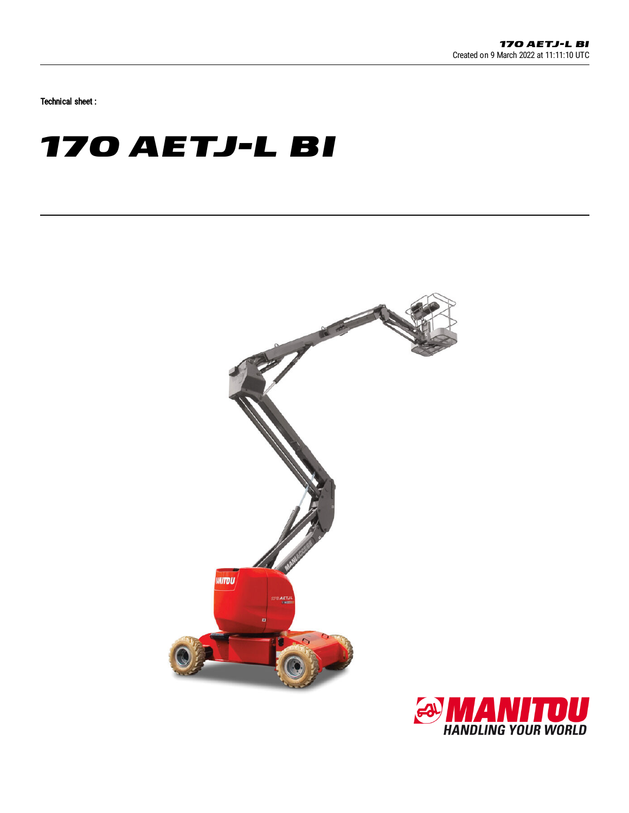Technical sheet :

# **170 AETJ-L BI**



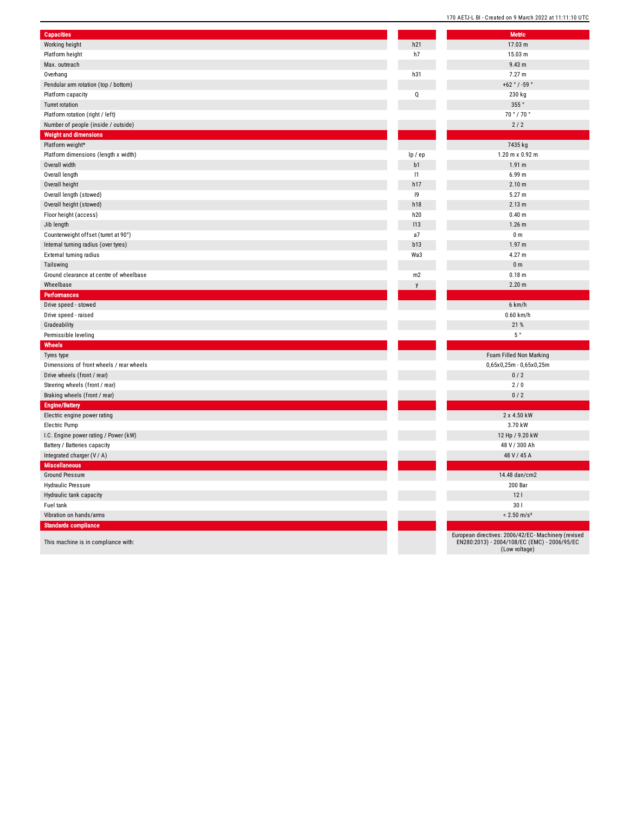| <b>Capacities</b>                        |         | <b>Metric</b>                 |
|------------------------------------------|---------|-------------------------------|
| Working height                           | h21     | 17.03 n                       |
| Platform height                          | h7      | 15.03n                        |
| Max. outreach                            |         | 9.43 m                        |
| Overhang                                 | h31     | $7.27 \text{ m}$              |
| Pendular arm rotation (top / bottom)     |         | $+62 °/ -5$                   |
| Platform capacity                        | Q       | 230 kg                        |
| <b>Turret rotation</b>                   |         | 355°                          |
| Platform rotation (right / left)         |         | 70°/70                        |
| Number of people (inside / outside)      |         | 2/2                           |
| <b>Weight and dimensions</b>             |         |                               |
| Platform weight*                         |         | 7435 kg                       |
| Platform dimensions (length x width)     | lp / ep | $1.20$ m x 0.                 |
| Overall width                            | b1      | 1.91 <sub>m</sub>             |
| Overall length                           | 1       | $6.99$ m                      |
| Overall height                           | h17     | 2.10 m                        |
| Overall length (stowed)                  | 19      | 5.27 m                        |
| Overall height (stowed)                  | h18     | 2.13 m                        |
| Floor height (access)                    | h20     | 0.40 m                        |
| Jib length                               | 113     | $1.26$ m                      |
| Counterweight offset (turret at 90°)     | a7      | 0 <sub>m</sub>                |
| Internal turning radius (over tyres)     | b13     | 1.97 <sub>m</sub>             |
| External turning radius                  | Wa3     | 4.27 m                        |
| Tailswing                                |         | 0 <sub>m</sub>                |
| Ground clearance at centre of wheelbase  | m2      | $0.18$ m                      |
| Wheelbase                                | y       | $2.20 \text{ m}$              |
| Performances                             |         |                               |
| Drive speed - stowed                     |         | 6 km/h                        |
| Drive speed - raised                     |         | $0.60$ km                     |
| Gradeability                             |         | 21 %                          |
| Permissible leveling                     |         | $5~^\circ$                    |
| Wheels                                   |         |                               |
| Tyres type                               |         | Foam Filled Nor               |
| Dimensions of front wheels / rear wheels |         | $0,65x0,25m - 0,$             |
| Drive wheels (front / rear)              |         | 0/2                           |
| Steering wheels (front / rear)           |         | 2/0                           |
| Braking wheels (front / rear)            |         | 0/2                           |
| <b>Engine/Battery</b>                    |         |                               |
| Electric engine power rating             |         | 2 x 4.50                      |
| Electric Pump                            |         | 3.70 kV                       |
| I.C. Engine power rating / Power (kW)    |         | 12 Hp / 9.2                   |
| Battery / Batteries capacity             |         | 48 V / 300                    |
| Integrated charger (V / A)               |         | 48 V / 45                     |
| <b>Miscellaneous</b>                     |         |                               |
| <b>Ground Pressure</b>                   |         | 14.48 dan/                    |
| Hydraulic Pressure                       |         | 200 Ba                        |
| Hydraulic tank capacity                  |         | 121                           |
| Fuel tank                                |         | 301                           |
| Vibration on hands/arms                  |         | $< 2.50$ m                    |
| Standards compliance                     |         |                               |
|                                          |         | European directives: 2006/42/ |
| This machine is in compliance with:      |         | EN280:2013) - 2004/108/EC     |

1 7.0 3 m

1 5.0 3 m

9.4 3 m

7.2 7 m

+ 6 2 ° / - 5 9 °

2 3 0 k g

7 0 ° / 7 0 °

7 4 3 5 k g

| $1.20$ m x $0.92$ m       |
|---------------------------|
| 1.91 <sub>m</sub>         |
| 6.99 m                    |
| 2.10 <sub>m</sub>         |
| 5.27 m                    |
| 2.13 m                    |
| 0.40 <sub>m</sub>         |
| 1.26 <sub>m</sub>         |
| 0 <sub>m</sub>            |
| 1.97 m                    |
| 4.27 m                    |
| 0 <sub>m</sub>            |
| 0.18 m                    |
| 2.20 m                    |
|                           |
| $6$ km/h                  |
| $0.60$ km/h               |
| 21 %                      |
| 5°                        |
|                           |
| Foam Filled Non Marking   |
| 0,65x0,25m - 0,65x0,25m   |
| 0/2                       |
| 2/0                       |
| 0/2                       |
|                           |
| 2 x 4.50 kW               |
|                           |
| 3.70 kW                   |
| 12 Hp / 9.20 kW           |
| 48 V / 300 Ah             |
| 48 V / 45 A               |
|                           |
| 14.48 dan/cm2             |
| 200 Bar                   |
| 12 <sub>1</sub>           |
| 30 <sub>1</sub>           |
| $< 2.50$ m/s <sup>2</sup> |

uropean directives: 2006/42/EC- Machinery (revised<br>EN280:2013) - 2004/108/EC (EMC) - 2006/95/EC<br>(Low voltage)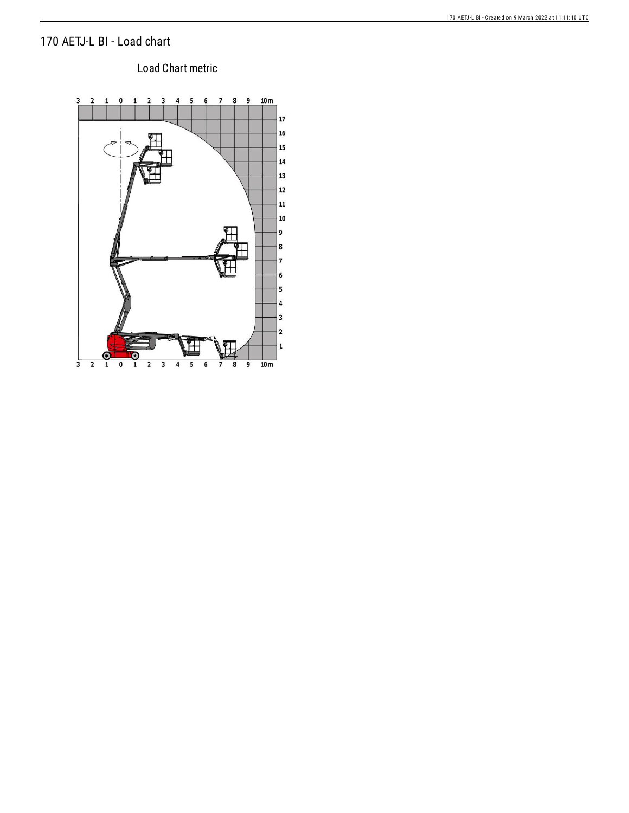### 170 AETJ-L BI - Load chart

# Load Chart metric

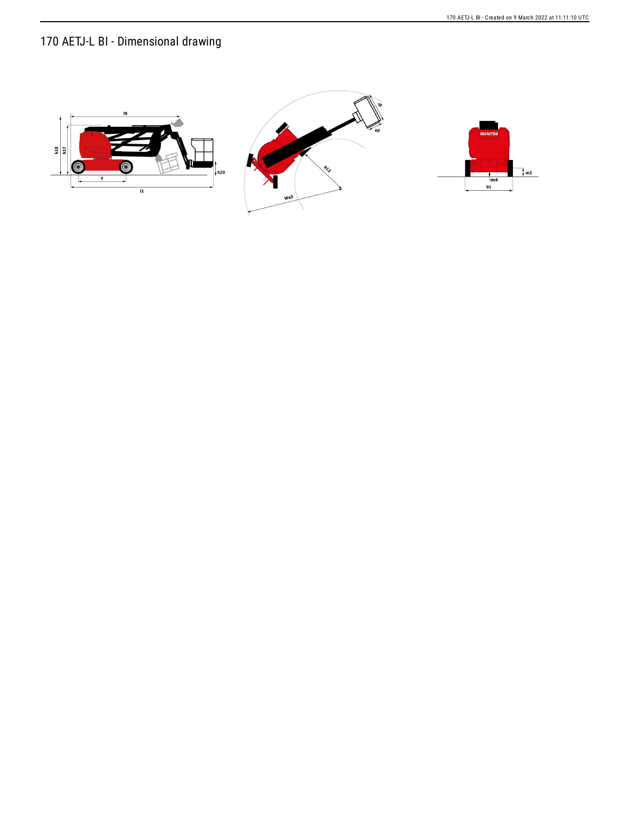## 170 AETJ-L BI - Dimensional drawing

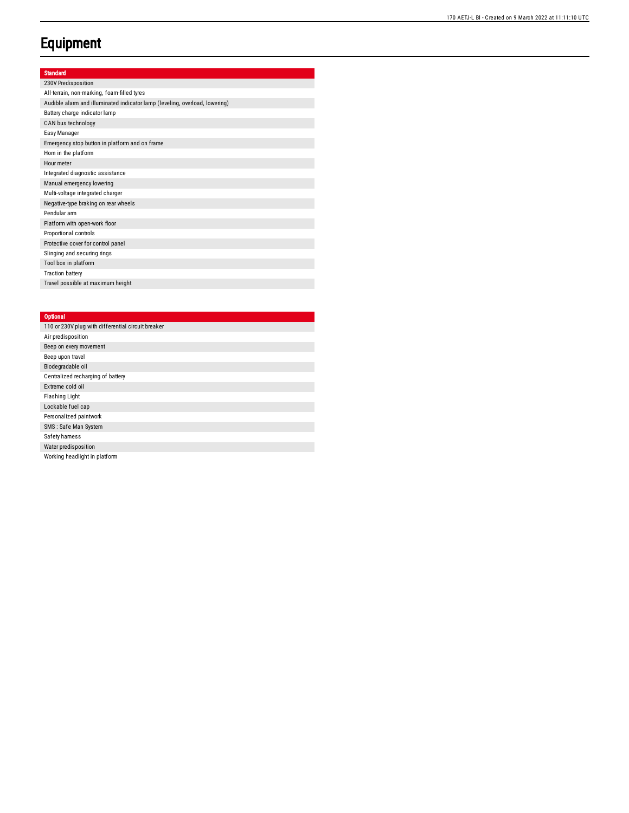### **Equipment**

#### Standard

230V Predisposition All-terrain, non-marking, foam-filled tyres Audible alarm and illuminated indicator lamp (leveling, overload, lowering) Battery charge indicator lamp CAN bus technology Easy Manager Emergency stop button in platform and on frame Hom in the platform Hour meter Integrated diagnostic assistance Manual emergency lowering Multi-voltage integrated charger Negative-type braking on rear wheels Pendular arm Platform with open-work floor Proportional controls Protective cover for control panel Slinging and securing rings Tool box in platform Traction battery Travel possible at maximum heig h t

#### **Optional**

| 110 or 230V plug with differential circuit breaker |
|----------------------------------------------------|
| Air predisposition                                 |
| Beep on every movement                             |
| Beep upon travel                                   |
| Biodegradable oil                                  |
| Centralized recharging of battery                  |
| Extreme cold oil                                   |
| <b>Flashing Light</b>                              |
| Lockable fuel cap                                  |
| Personalized paintwork                             |
| SMS: Safe Man System                               |
| Safety hamess                                      |
| Water predisposition                               |
| Working headlight in platform                      |